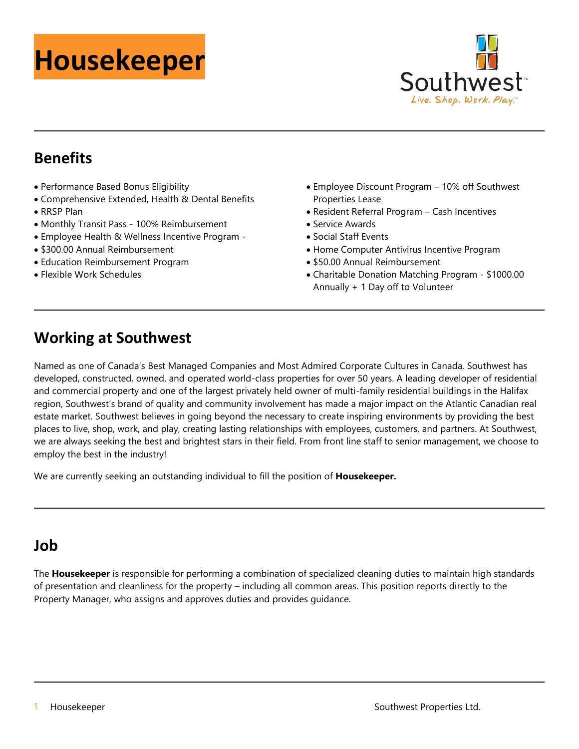# **Housekeeper**



# **Benefits**

- Performance Based Bonus Eligibility
- Comprehensive Extended, Health & Dental Benefits • RRSP Plan
- Monthly Transit Pass 100% Reimbursement
- Employee Health & Wellness Incentive Program -
- \$300.00 Annual Reimbursement
- Education Reimbursement Program
- Flexible Work Schedules
- Employee Discount Program 10% off Southwest Properties Lease
- Resident Referral Program Cash Incentives
- Service Awards
- Social Staff Events
- Home Computer Antivirus Incentive Program
- \$50.00 Annual Reimbursement
- Charitable Donation Matching Program \$1000.00 Annually + 1 Day off to Volunteer

# **Working at Southwest**

Named as one of Canada's Best Managed Companies and Most Admired Corporate Cultures in Canada, Southwest has developed, constructed, owned, and operated world-class properties for over 50 years. A leading developer of residential and commercial property and one of the largest privately held owner of multi-family residential buildings in the Halifax region, Southwest's brand of quality and community involvement has made a major impact on the Atlantic Canadian real estate market. Southwest believes in going beyond the necessary to create inspiring environments by providing the best places to live, shop, work, and play, creating lasting relationships with employees, customers, and partners. At Southwest, we are always seeking the best and brightest stars in their field. From front line staff to senior management, we choose to employ the best in the industry!

We are currently seeking an outstanding individual to fill the position of **Housekeeper.**

## **Job**

The **Housekeeper** is responsible for performing a combination of specialized cleaning duties to maintain high standards of presentation and cleanliness for the property – including all common areas. This position reports directly to the Property Manager, who assigns and approves duties and provides guidance.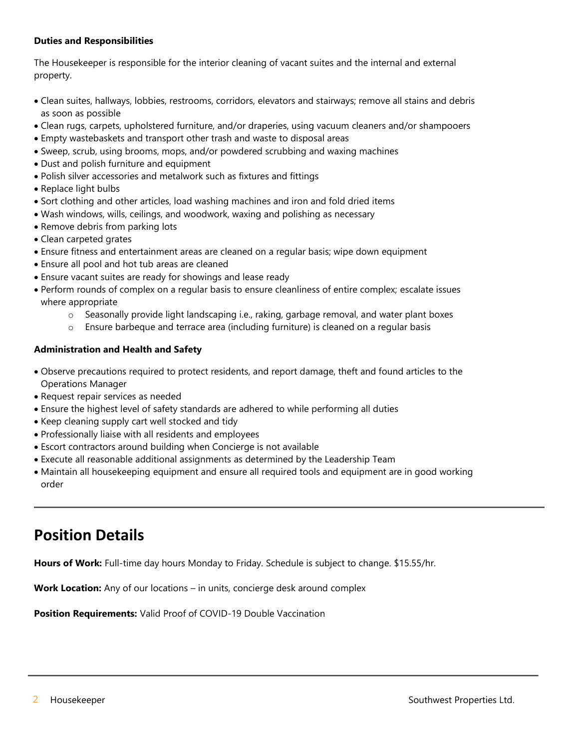#### **Duties and Responsibilities**

The Housekeeper is responsible for the interior cleaning of vacant suites and the internal and external property.

- Clean suites, hallways, lobbies, restrooms, corridors, elevators and stairways; remove all stains and debris as soon as possible
- Clean rugs, carpets, upholstered furniture, and/or draperies, using vacuum cleaners and/or shampooers
- Empty wastebaskets and transport other trash and waste to disposal areas
- Sweep, scrub, using brooms, mops, and/or powdered scrubbing and waxing machines
- Dust and polish furniture and equipment
- Polish silver accessories and metalwork such as fixtures and fittings
- Replace light bulbs
- Sort clothing and other articles, load washing machines and iron and fold dried items
- Wash windows, wills, ceilings, and woodwork, waxing and polishing as necessary
- Remove debris from parking lots
- Clean carpeted grates
- Ensure fitness and entertainment areas are cleaned on a regular basis; wipe down equipment
- Ensure all pool and hot tub areas are cleaned
- Ensure vacant suites are ready for showings and lease ready
- Perform rounds of complex on a regular basis to ensure cleanliness of entire complex; escalate issues where appropriate
	- o Seasonally provide light landscaping i.e., raking, garbage removal, and water plant boxes
	- Ensure barbeque and terrace area (including furniture) is cleaned on a regular basis

#### **Administration and Health and Safety**

- Observe precautions required to protect residents, and report damage, theft and found articles to the Operations Manager
- Request repair services as needed
- Ensure the highest level of safety standards are adhered to while performing all duties
- Keep cleaning supply cart well stocked and tidy
- Professionally liaise with all residents and employees
- Escort contractors around building when Concierge is not available
- Execute all reasonable additional assignments as determined by the Leadership Team
- Maintain all housekeeping equipment and ensure all required tools and equipment are in good working order

## **Position Details**

**Hours of Work:** Full-time day hours Monday to Friday. Schedule is subject to change. \$15.55/hr.

**Work Location:** Any of our locations – in units, concierge desk around complex

**Position Requirements:** Valid Proof of COVID-19 Double Vaccination